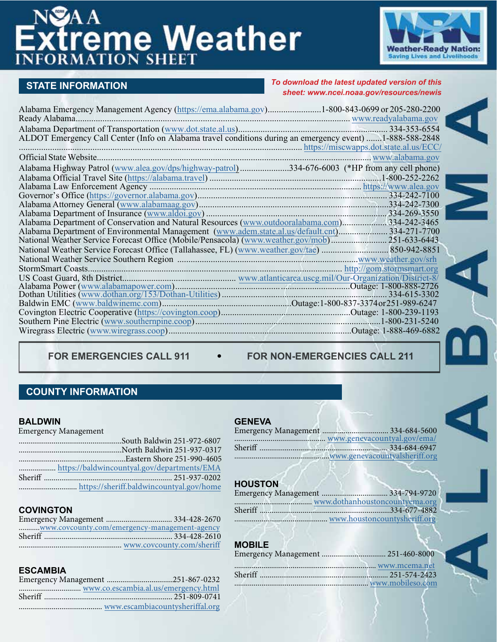# **EXTREME Weather**



# **STATE INFORMATION**

#### *To download the latest updated version of this sheet: [www.ncei.noaa.gov/resources/newis](https://www.ncei.noaa.gov/resources/newis)*

| Alabama Emergency Management Agency (https://ema.alabama.gov)1-800-843-0699 or 205-280-2200              |  |
|----------------------------------------------------------------------------------------------------------|--|
|                                                                                                          |  |
|                                                                                                          |  |
| ALDOT Emergency Call Center (Info on Alabama travel conditions during an emergency event) 1-888-588-2848 |  |
| https://miscwapps.dot.state.al.us/ECC/                                                                   |  |
|                                                                                                          |  |
| Alabama Highway Patrol (www.alea.gov/dps/highway-patrol)334-676-6003 (*HP from any cell phone)           |  |
|                                                                                                          |  |
|                                                                                                          |  |
|                                                                                                          |  |
|                                                                                                          |  |
|                                                                                                          |  |
| Alabama Department of Conservation and Natural Resources (www.outdooralabama.com)334-242-3465            |  |
| Alabama Department of Environmental Management (www.adem.state.al.us/default.cnt)334-271-7700            |  |
|                                                                                                          |  |
|                                                                                                          |  |
|                                                                                                          |  |
|                                                                                                          |  |
|                                                                                                          |  |
|                                                                                                          |  |
|                                                                                                          |  |
|                                                                                                          |  |
|                                                                                                          |  |
|                                                                                                          |  |
|                                                                                                          |  |
|                                                                                                          |  |

FOR EMERGENCIES CALL 911  $\bullet$  FOR NON-EMERGENCIES CALL 211

# **COUNTY INFORMATION**

#### **BALDWIN**

Emergency Management

# **COVINGTON**

| www.covcounty.com/emergency-management-agency |  |
|-----------------------------------------------|--|
|                                               |  |
|                                               |  |

# **ESCAMBIA**

#### **GENEVA**

| www.genevacountyal.gov/ema/ |
|-----------------------------|
|                             |
|                             |
|                             |

# **HOUSTON**

# **MOBILE**

| Emergency Management  251-460-8000 |  |
|------------------------------------|--|
|                                    |  |
|                                    |  |
| www.mobileso.com                   |  |
|                                    |  |